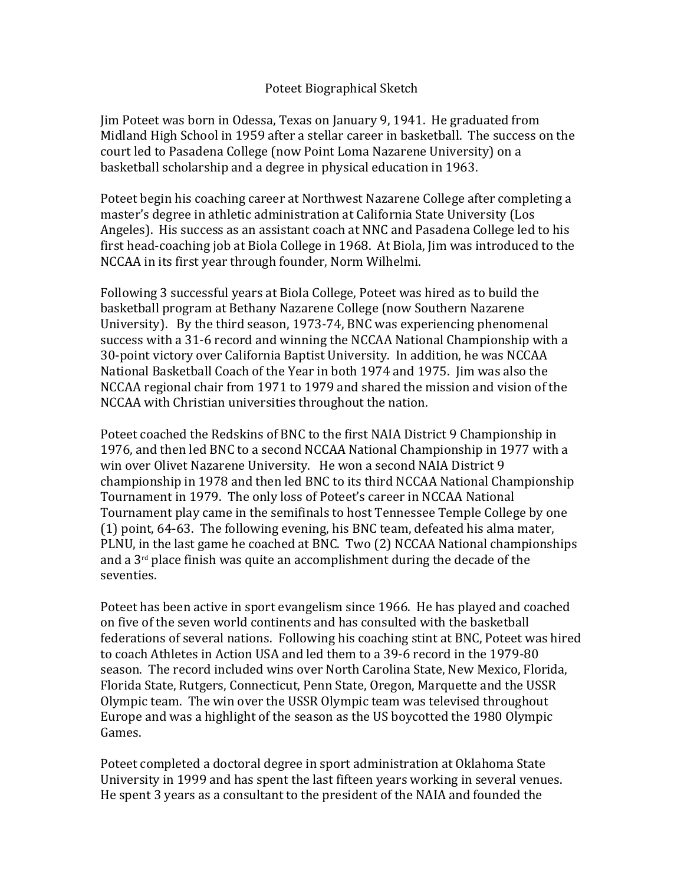## Poteet Biographical Sketch

Jim Poteet was born in Odessa, Texas on January 9, 1941. He graduated from Midland High School in 1959 after a stellar career in basketball. The success on the court led to Pasadena College (now Point Loma Nazarene University) on a basketball scholarship and a degree in physical education in 1963.

Poteet begin his coaching career at Northwest Nazarene College after completing a master's degree in athletic administration at California State University (Los Angeles). His success as an assistant coach at NNC and Pasadena College led to his first head-coaching job at Biola College in 1968. At Biola, Jim was introduced to the NCCAA in its first year through founder, Norm Wilhelmi.

Following 3 successful years at Biola College, Poteet was hired as to build the basketball program at Bethany Nazarene College (now Southern Nazarene University). By the third season, 1973-74, BNC was experiencing phenomenal success with a 31-6 record and winning the NCCAA National Championship with a 30-point victory over California Baptist University. In addition, he was NCCAA National Basketball Coach of the Year in both 1974 and 1975. Jim was also the NCCAA regional chair from 1971 to 1979 and shared the mission and vision of the NCCAA with Christian universities throughout the nation.

Poteet coached the Redskins of BNC to the first NAIA District 9 Championship in 1976, and then led BNC to a second NCCAA National Championship in 1977 with a win over Olivet Nazarene University. He won a second NAIA District 9 championship in 1978 and then led BNC to its third NCCAA National Championship Tournament in 1979. The only loss of Poteet's career in NCCAA National Tournament play came in the semifinals to host Tennessee Temple College by one (1) point, 64-63. The following evening, his BNC team, defeated his alma mater, PLNU, in the last game he coached at BNC. Two (2) NCCAA National championships and a  $3<sup>rd</sup>$  place finish was quite an accomplishment during the decade of the seventies.

Poteet has been active in sport evangelism since 1966. He has played and coached on five of the seven world continents and has consulted with the basketball federations of several nations. Following his coaching stint at BNC, Poteet was hired to coach Athletes in Action USA and led them to a 39-6 record in the 1979-80 season. The record included wins over North Carolina State, New Mexico, Florida, Florida State, Rutgers, Connecticut, Penn State, Oregon, Marquette and the USSR Olympic team. The win over the USSR Olympic team was televised throughout Europe and was a highlight of the season as the US boycotted the 1980 Olympic Games.

Poteet completed a doctoral degree in sport administration at Oklahoma State University in 1999 and has spent the last fifteen years working in several venues. He spent 3 years as a consultant to the president of the NAIA and founded the